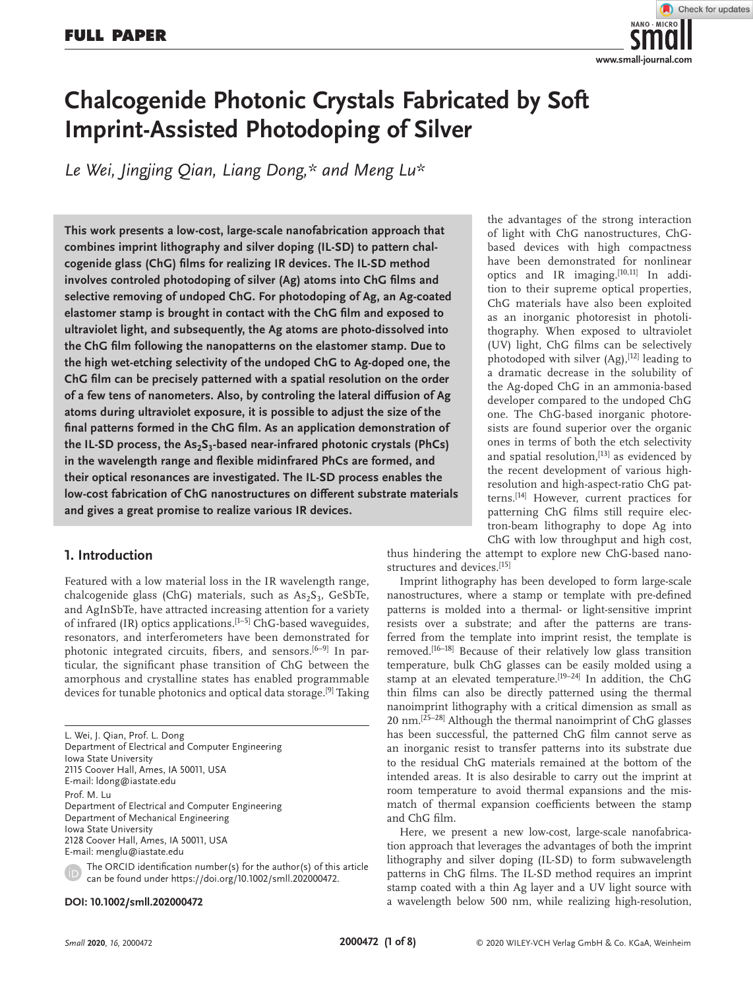

# **Chalcogenide Photonic Crystals Fabricated by Soft Imprint-Assisted Photodoping of Silver**

*Le Wei, Jingjing Qian, Liang Dong,\* and Meng Lu\**

**This work presents a low-cost, large-scale nanofabrication approach that combines imprint lithography and silver doping (IL-SD) to pattern chalcogenide glass (ChG) films for realizing IR devices. The IL-SD method involves controled photodoping of silver (Ag) atoms into ChG films and selective removing of undoped ChG. For photodoping of Ag, an Ag-coated elastomer stamp is brought in contact with the ChG film and exposed to ultraviolet light, and subsequently, the Ag atoms are photo-dissolved into the ChG film following the nanopatterns on the elastomer stamp. Due to the high wet-etching selectivity of the undoped ChG to Ag-doped one, the ChG film can be precisely patterned with a spatial resolution on the order of a few tens of nanometers. Also, by controling the lateral diffusion of Ag atoms during ultraviolet exposure, it is possible to adjust the size of the final patterns formed in the ChG film. As an application demonstration of**  the IL-SD process, the As<sub>2</sub>S<sub>3</sub>-based near-infrared photonic crystals (PhCs) **in the wavelength range and flexible midinfrared PhCs are formed, and their optical resonances are investigated. The IL-SD process enables the low-cost fabrication of ChG nanostructures on different substrate materials and gives a great promise to realize various IR devices.**

## **1. Introduction**

Featured with a low material loss in the IR wavelength range, chalcogenide glass (ChG) materials, such as  $As_2S_3$ , GeSbTe, and AgInSbTe, have attracted increasing attention for a variety of infrared (IR) optics applications.<sup>[1-5]</sup> ChG-based waveguides, resonators, and interferometers have been demonstrated for photonic integrated circuits, fibers, and sensors.<sup>[6-9]</sup> In particular, the significant phase transition of ChG between the amorphous and crystalline states has enabled programmable devices for tunable photonics and optical data storage.[9] Taking

L. Wei, J. Qian, Prof. L. Dong Department of Electrical and Computer Engineering Iowa State University 2115 Coover Hall, Ames, IA 50011, USA E-mail: ldong@iastate.edu Prof. M. Lu Department of Electrical and Computer Engineering Department of Mechanical Engineering Iowa State University 2128 Coover Hall, Ames, IA 50011, USA E-mail: menglu@iastate.edu

The ORCID identification number(s) for the author(s) of this article can be found under https://doi.org/10.1002/smll.202000472.

### **DOI: 10.1002/smll.202000472**

the advantages of the strong interaction of light with ChG nanostructures, ChGbased devices with high compactness have been demonstrated for nonlinear optics and IR imaging.[10,11] In addition to their supreme optical properties, ChG materials have also been exploited as an inorganic photoresist in photolithography. When exposed to ultraviolet (UV) light, ChG films can be selectively photodoped with silver  $(Ag)$ ,  $[12]$  leading to a dramatic decrease in the solubility of the Ag-doped ChG in an ammonia-based developer compared to the undoped ChG one. The ChG-based inorganic photoresists are found superior over the organic ones in terms of both the etch selectivity and spatial resolution, $[13]$  as evidenced by the recent development of various highresolution and high-aspect-ratio ChG patterns.[14] However, current practices for patterning ChG films still require electron-beam lithography to dope Ag into ChG with low throughput and high cost,

thus hindering the attempt to explore new ChG-based nanostructures and devices.[15]

Imprint lithography has been developed to form large-scale nanostructures, where a stamp or template with pre-defined patterns is molded into a thermal- or light-sensitive imprint resists over a substrate; and after the patterns are transferred from the template into imprint resist, the template is removed.<sup>[16-18]</sup> Because of their relatively low glass transition temperature, bulk ChG glasses can be easily molded using a stamp at an elevated temperature.<sup>[19-24]</sup> In addition, the ChG thin films can also be directly patterned using the thermal nanoimprint lithography with a critical dimension as small as 20 nm.[25–28] Although the thermal nanoimprint of ChG glasses has been successful, the patterned ChG film cannot serve as an inorganic resist to transfer patterns into its substrate due to the residual ChG materials remained at the bottom of the intended areas. It is also desirable to carry out the imprint at room temperature to avoid thermal expansions and the mismatch of thermal expansion coefficients between the stamp and ChG film.

Here, we present a new low-cost, large-scale nanofabrication approach that leverages the advantages of both the imprint lithography and silver doping (IL-SD) to form subwavelength patterns in ChG films. The IL-SD method requires an imprint stamp coated with a thin Ag layer and a UV light source with a wavelength below 500 nm, while realizing high-resolution,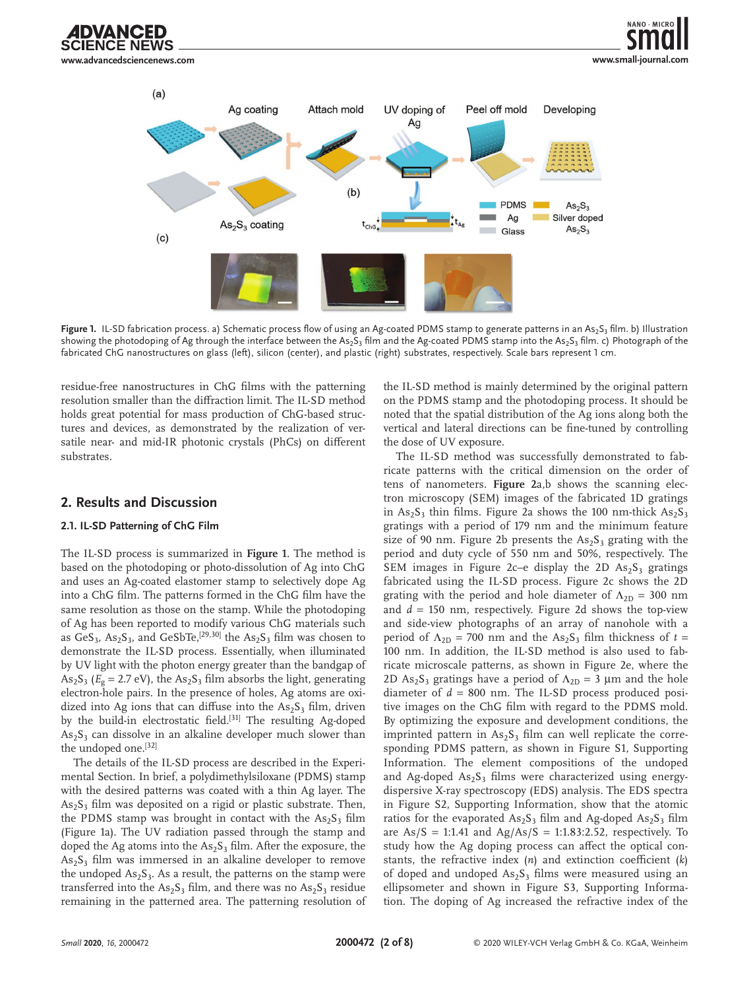

 $(a)$ UV doping of Ag coating Attach mold Peel off mold Developing Aa  $(b)$ **PDMS**  $As<sub>2</sub>S<sub>3</sub>$ Ag Silver doped  $As<sub>2</sub>S<sub>3</sub> coating$  $\text{As}_2\text{S}_3$ Glass  $(c)$ 

Figure 1. IL-SD fabrication process. a) Schematic process flow of using an Ag-coated PDMS stamp to generate patterns in an As<sub>2</sub>S<sub>3</sub> film. b) Illustration showing the photodoping of Ag through the interface between the As<sub>2</sub>S<sub>3</sub> film and the Ag-coated PDMS stamp into the As<sub>2</sub>S<sub>3</sub> film. c) Photograph of the fabricated ChG nanostructures on glass (left), silicon (center), and plastic (right) substrates, respectively. Scale bars represent 1 cm.

residue-free nanostructures in ChG films with the patterning resolution smaller than the diffraction limit. The IL-SD method holds great potential for mass production of ChG-based structures and devices, as demonstrated by the realization of versatile near- and mid-IR photonic crystals (PhCs) on different substrates.

## **2. Results and Discussion**

## **2.1. IL-SD Patterning of ChG Film**

The IL-SD process is summarized in **Figure 1**. The method is based on the photodoping or photo-dissolution of Ag into ChG and uses an Ag-coated elastomer stamp to selectively dope Ag into a ChG film. The patterns formed in the ChG film have the same resolution as those on the stamp. While the photodoping of Ag has been reported to modify various ChG materials such as  $\text{GeS}_3$ ,  $\text{As}_2\text{S}_3$ , and  $\text{GeSbTe}$ ,  $^{[29,30]}$  the  $\text{As}_2\text{S}_3$  film was chosen to demonstrate the IL-SD process. Essentially, when illuminated by UV light with the photon energy greater than the bandgap of As<sub>2</sub>S<sub>3</sub> ( $E_g$  = 2.7 eV), the As<sub>2</sub>S<sub>3</sub> film absorbs the light, generating electron-hole pairs. In the presence of holes, Ag atoms are oxidized into Ag ions that can diffuse into the  $As_2S_3$  film, driven by the build-in electrostatic field.<sup>[31]</sup> The resulting Ag-doped  $As<sub>2</sub>S<sub>3</sub>$  can dissolve in an alkaline developer much slower than the undoped one.<sup>[32]</sup>

The details of the IL-SD process are described in the Experimental Section. In brief, a polydimethylsiloxane (PDMS) stamp with the desired patterns was coated with a thin Ag layer. The  $\text{As}_2\text{S}_3$  film was deposited on a rigid or plastic substrate. Then, the PDMS stamp was brought in contact with the  $As_2S_3$  film (Figure 1a). The UV radiation passed through the stamp and doped the Ag atoms into the  $\text{As}_2\text{S}_3$  film. After the exposure, the  $As<sub>2</sub>S<sub>3</sub>$  film was immersed in an alkaline developer to remove the undoped  $As_2S_3$ . As a result, the patterns on the stamp were transferred into the  $As_2S_3$  film, and there was no  $As_2S_3$  residue remaining in the patterned area. The patterning resolution of

the IL-SD method is mainly determined by the original pattern on the PDMS stamp and the photodoping process. It should be noted that the spatial distribution of the Ag ions along both the vertical and lateral directions can be fine-tuned by controlling the dose of UV exposure.

**www.small-journal.com**

The IL-SD method was successfully demonstrated to fabricate patterns with the critical dimension on the order of tens of nanometers. **Figure 2**a,b shows the scanning electron microscopy (SEM) images of the fabricated 1D gratings in  $\text{As}_2\text{S}_3$  thin films. Figure 2a shows the 100 nm-thick  $\text{As}_2\text{S}_3$ gratings with a period of 179 nm and the minimum feature size of 90 nm. Figure 2b presents the  $As_2S_3$  grating with the period and duty cycle of 550 nm and 50%, respectively. The SEM images in Figure 2c–e display the 2D  $\text{As}_2\text{S}_3$  gratings fabricated using the IL-SD process. Figure 2c shows the 2D grating with the period and hole diameter of  $\Lambda_{2D} = 300$  nm and  $d = 150$  nm, respectively. Figure 2d shows the top-view and side-view photographs of an array of nanohole with a period of  $\Lambda_{2D}$  = 700 nm and the  $\text{As}_2\text{S}_3$  film thickness of  $t =$ 100 nm. In addition, the IL-SD method is also used to fabricate microscale patterns, as shown in Figure 2e, where the 2D As<sub>2</sub>S<sub>3</sub> gratings have a period of  $\Lambda_{2D} = 3 \mu m$  and the hole diameter of  $d = 800$  nm. The IL-SD process produced positive images on the ChG film with regard to the PDMS mold. By optimizing the exposure and development conditions, the imprinted pattern in  $As_2S_3$  film can well replicate the corresponding PDMS pattern, as shown in Figure S1, Supporting Information. The element compositions of the undoped and Ag-doped  $As<sub>2</sub>S<sub>3</sub>$  films were characterized using energydispersive X-ray spectroscopy (EDS) analysis. The EDS spectra in Figure S2, Supporting Information, show that the atomic ratios for the evaporated  $\text{As}_2\text{S}_3$  film and Ag-doped  $\text{As}_2\text{S}_3$  film are  $As/S = 1:1.41$  and  $Ag/As/S = 1:1.83:2.52$ , respectively. To study how the Ag doping process can affect the optical constants, the refractive index (*n*) and extinction coefficient (*k*) of doped and undoped  $As<sub>2</sub>S<sub>3</sub>$  films were measured using an ellipsometer and shown in Figure S3, Supporting Information. The doping of Ag increased the refractive index of the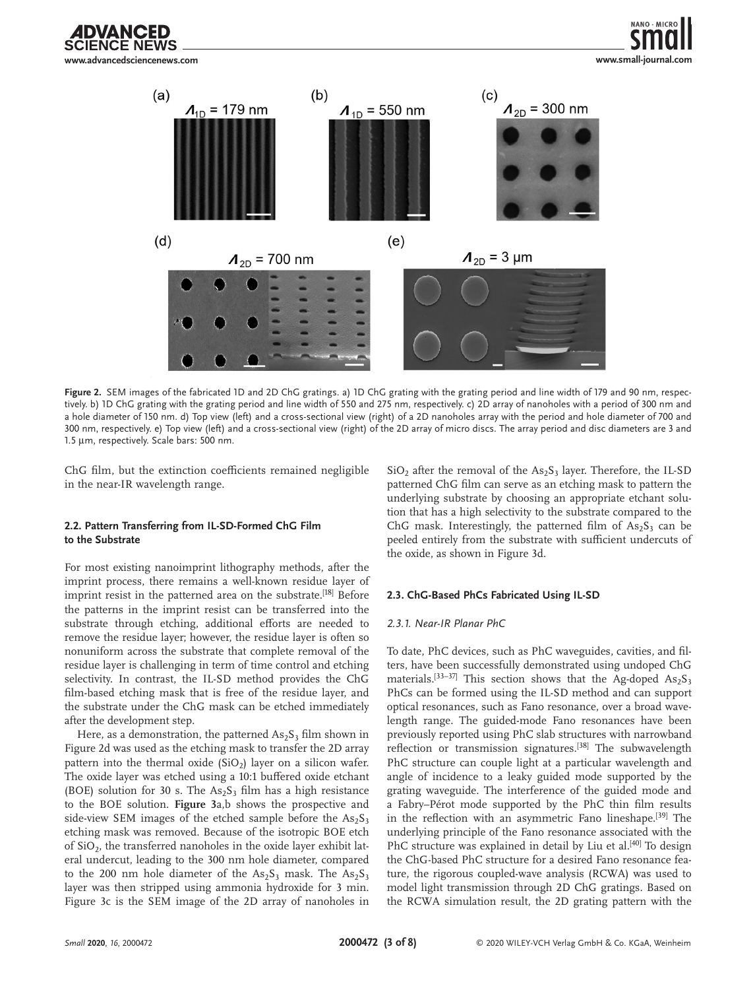**www.advancedsciencenews.com**

DVANCED





Figure 2. SEM images of the fabricated 1D and 2D ChG gratings. a) 1D ChG grating with the grating period and line width of 179 and 90 nm, respectively. b) 1D ChG grating with the grating period and line width of 550 and 275 nm, respectively. c) 2D array of nanoholes with a period of 300 nm and a hole diameter of 150 nm. d) Top view (left) and a cross-sectional view (right) of a 2D nanoholes array with the period and hole diameter of 700 and 300 nm, respectively. e) Top view (left) and a cross-sectional view (right) of the 2D array of micro discs. The array period and disc diameters are 3 and 1.5 µm, respectively. Scale bars: 500 nm.

ChG film, but the extinction coefficients remained negligible in the near-IR wavelength range.

## **2.2. Pattern Transferring from IL-SD-Formed ChG Film to the Substrate**

For most existing nanoimprint lithography methods, after the imprint process, there remains a well-known residue layer of imprint resist in the patterned area on the substrate.<sup>[18]</sup> Before the patterns in the imprint resist can be transferred into the substrate through etching, additional efforts are needed to remove the residue layer; however, the residue layer is often so nonuniform across the substrate that complete removal of the residue layer is challenging in term of time control and etching selectivity. In contrast, the IL-SD method provides the ChG film-based etching mask that is free of the residue layer, and the substrate under the ChG mask can be etched immediately after the development step.

Here, as a demonstration, the patterned  $\text{As}_2\text{S}_3$  film shown in Figure 2d was used as the etching mask to transfer the 2D array pattern into the thermal oxide  $(SiO<sub>2</sub>)$  layer on a silicon wafer. The oxide layer was etched using a 10:1 buffered oxide etchant (BOE) solution for 30 s. The  $As_2S_3$  film has a high resistance to the BOE solution. **Figure 3**a,b shows the prospective and side-view SEM images of the etched sample before the  $As_2S_3$ etching mask was removed. Because of the isotropic BOE etch of  $SiO<sub>2</sub>$ , the transferred nanoholes in the oxide layer exhibit lateral undercut, leading to the 300 nm hole diameter, compared to the 200 nm hole diameter of the  $As_2S_3$  mask. The  $As_2S_3$ layer was then stripped using ammonia hydroxide for 3 min. Figure 3c is the SEM image of the 2D array of nanoholes in  $SiO<sub>2</sub>$  after the removal of the  $As<sub>2</sub>S<sub>3</sub>$  layer. Therefore, the IL-SD patterned ChG film can serve as an etching mask to pattern the underlying substrate by choosing an appropriate etchant solution that has a high selectivity to the substrate compared to the ChG mask. Interestingly, the patterned film of  $As_2S_3$  can be peeled entirely from the substrate with sufficient undercuts of the oxide, as shown in Figure 3d.

## **2.3. ChG-Based PhCs Fabricated Using IL-SD**

### *2.3.1. Near-IR Planar PhC*

To date, PhC devices, such as PhC waveguides, cavities, and filters, have been successfully demonstrated using undoped ChG materials.<sup>[33-37]</sup> This section shows that the Ag-doped  $As_2S_3$ PhCs can be formed using the IL-SD method and can support optical resonances, such as Fano resonance, over a broad wavelength range. The guided-mode Fano resonances have been previously reported using PhC slab structures with narrowband reflection or transmission signatures.<sup>[38]</sup> The subwavelength PhC structure can couple light at a particular wavelength and angle of incidence to a leaky guided mode supported by the grating waveguide. The interference of the guided mode and a Fabry–Pérot mode supported by the PhC thin film results in the reflection with an asymmetric Fano lineshape.<sup>[39]</sup> The underlying principle of the Fano resonance associated with the PhC structure was explained in detail by Liu et al.<sup>[40]</sup> To design the ChG-based PhC structure for a desired Fano resonance feature, the rigorous coupled-wave analysis (RCWA) was used to model light transmission through 2D ChG gratings. Based on the RCWA simulation result, the 2D grating pattern with the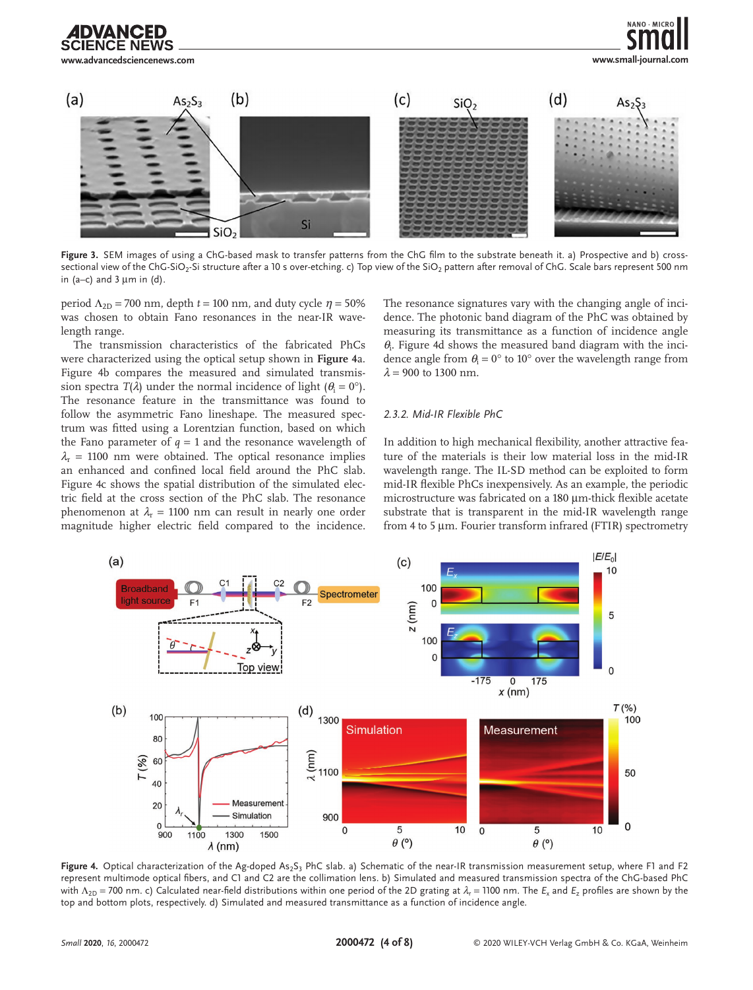

Figure 3. SEM images of using a ChG-based mask to transfer patterns from the ChG film to the substrate beneath it. a) Prospective and b) crosssectional view of the ChG-SiO<sub>2</sub>-Si structure after a 10 s over-etching. c) Top view of the SiO<sub>2</sub> pattern after removal of ChG. Scale bars represent 500 nm in (a–c) and  $3 \mu m$  in (d).

period  $\Lambda_{2D}$  = 700 nm, depth *t* = 100 nm, and duty cycle  $\eta$  = 50% was chosen to obtain Fano resonances in the near-IR wavelength range.

The transmission characteristics of the fabricated PhCs were characterized using the optical setup shown in **Figure 4**a. Figure 4b compares the measured and simulated transmission spectra *T*( $\lambda$ ) under the normal incidence of light ( $\theta_i = 0^\circ$ ). The resonance feature in the transmittance was found to follow the asymmetric Fano lineshape. The measured spectrum was fitted using a Lorentzian function, based on which the Fano parameter of  $q = 1$  and the resonance wavelength of  $\lambda$ <sub>r</sub> = 1100 nm were obtained. The optical resonance implies an enhanced and confined local field around the PhC slab. Figure 4c shows the spatial distribution of the simulated electric field at the cross section of the PhC slab. The resonance phenomenon at  $\lambda_r = 1100$  nm can result in nearly one order magnitude higher electric field compared to the incidence.

The resonance signatures vary with the changing angle of incidence. The photonic band diagram of the PhC was obtained by measuring its transmittance as a function of incidence angle *θ*i . Figure 4d shows the measured band diagram with the incidence angle from  $\theta_i = 0^\circ$  to 10° over the wavelength range from  $λ = 900$  to 1300 nm.

NANO, MICRO

### *2.3.2. Mid-IR Flexible PhC*

In addition to high mechanical flexibility, another attractive feature of the materials is their low material loss in the mid-IR wavelength range. The IL-SD method can be exploited to form mid-IR flexible PhCs inexpensively. As an example, the periodic microstructure was fabricated on a 180 µm-thick flexible acetate substrate that is transparent in the mid-IR wavelength range from 4 to 5 µm. Fourier transform infrared (FTIR) spectrometry



Figure 4. Optical characterization of the Ag-doped As<sub>2</sub>S<sub>3</sub> PhC slab. a) Schematic of the near-IR transmission measurement setup, where F1 and F2 represent multimode optical fibers, and C1 and C2 are the collimation lens. b) Simulated and measured transmission spectra of the ChG-based PhC with  $\Lambda_{2D}$  = 700 nm. c) Calculated near-field distributions within one period of the 2D grating at  $\lambda_r$  = 1100 nm. The  $E_x$  and  $E_y$  profiles are shown by the top and bottom plots, respectively. d) Simulated and measured transmittance as a function of incidence angle.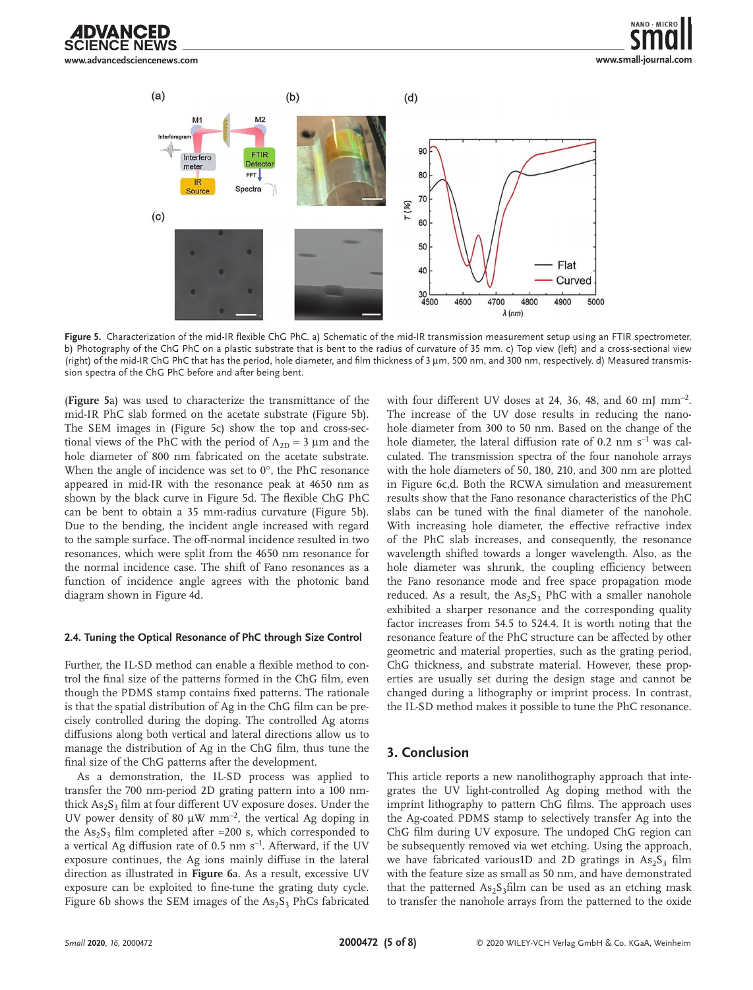ANCED **www.advancedsciencenews.com**





**Figure 5.** Characterization of the mid-IR flexible ChG PhC. a) Schematic of the mid-IR transmission measurement setup using an FTIR spectrometer. b) Photography of the ChG PhC on a plastic substrate that is bent to the radius of curvature of 35 mm. c) Top view (left) and a cross-sectional view (right) of the mid-IR ChG PhC that has the period, hole diameter, and film thickness of 3 µm, 500 nm, and 300 nm, respectively. d) Measured transmission spectra of the ChG PhC before and after being bent.

(**Figure 5**a) was used to characterize the transmittance of the mid-IR PhC slab formed on the acetate substrate (Figure 5b). The SEM images in (Figure 5c) show the top and cross-sectional views of the PhC with the period of  $\Lambda_{2D} = 3 \mu m$  and the hole diameter of 800 nm fabricated on the acetate substrate. When the angle of incidence was set to 0°, the PhC resonance appeared in mid-IR with the resonance peak at 4650 nm as shown by the black curve in Figure 5d. The flexible ChG PhC can be bent to obtain a 35 mm-radius curvature (Figure 5b). Due to the bending, the incident angle increased with regard to the sample surface. The off-normal incidence resulted in two resonances, which were split from the 4650 nm resonance for the normal incidence case. The shift of Fano resonances as a function of incidence angle agrees with the photonic band diagram shown in Figure 4d.

#### **2.4. Tuning the Optical Resonance of PhC through Size Control**

Further, the IL-SD method can enable a flexible method to control the final size of the patterns formed in the ChG film, even though the PDMS stamp contains fixed patterns. The rationale is that the spatial distribution of Ag in the ChG film can be precisely controlled during the doping. The controlled Ag atoms diffusions along both vertical and lateral directions allow us to manage the distribution of Ag in the ChG film, thus tune the final size of the ChG patterns after the development.

As a demonstration, the IL-SD process was applied to transfer the 700 nm-period 2D grating pattern into a 100 nmthick  $As_2S_3$  film at four different UV exposure doses. Under the UV power density of 80  $\mu$ W mm<sup>-2</sup>, the vertical Ag doping in the As<sub>2</sub>S<sub>3</sub> film completed after ≈200 s, which corresponded to a vertical Ag diffusion rate of  $0.5$  nm  $s^{-1}$ . Afterward, if the UV exposure continues, the Ag ions mainly diffuse in the lateral direction as illustrated in **Figure 6**a. As a result, excessive UV exposure can be exploited to fine-tune the grating duty cycle. Figure 6b shows the SEM images of the  $As_2S_3$  PhCs fabricated with four different UV doses at 24, 36, 48, and 60 mJ  $mm^{-2}$ . The increase of the UV dose results in reducing the nanohole diameter from 300 to 50 nm. Based on the change of the hole diameter, the lateral diffusion rate of 0.2  $\text{nm s}^{-1}$  was calculated. The transmission spectra of the four nanohole arrays with the hole diameters of 50, 180, 210, and 300 nm are plotted in Figure 6c,d. Both the RCWA simulation and measurement results show that the Fano resonance characteristics of the PhC slabs can be tuned with the final diameter of the nanohole. With increasing hole diameter, the effective refractive index of the PhC slab increases, and consequently, the resonance wavelength shifted towards a longer wavelength. Also, as the hole diameter was shrunk, the coupling efficiency between the Fano resonance mode and free space propagation mode reduced. As a result, the  $As_2S_3$  PhC with a smaller nanohole exhibited a sharper resonance and the corresponding quality factor increases from 54.5 to 524.4. It is worth noting that the resonance feature of the PhC structure can be affected by other geometric and material properties, such as the grating period, ChG thickness, and substrate material. However, these properties are usually set during the design stage and cannot be changed during a lithography or imprint process. In contrast, the IL-SD method makes it possible to tune the PhC resonance.

## **3. Conclusion**

This article reports a new nanolithography approach that integrates the UV light-controlled Ag doping method with the imprint lithography to pattern ChG films. The approach uses the Ag-coated PDMS stamp to selectively transfer Ag into the ChG film during UV exposure. The undoped ChG region can be subsequently removed via wet etching. Using the approach, we have fabricated various1D and 2D gratings in  $As_2S_3$  film with the feature size as small as 50 nm, and have demonstrated that the patterned  $As_2S_3film$  can be used as an etching mask to transfer the nanohole arrays from the patterned to the oxide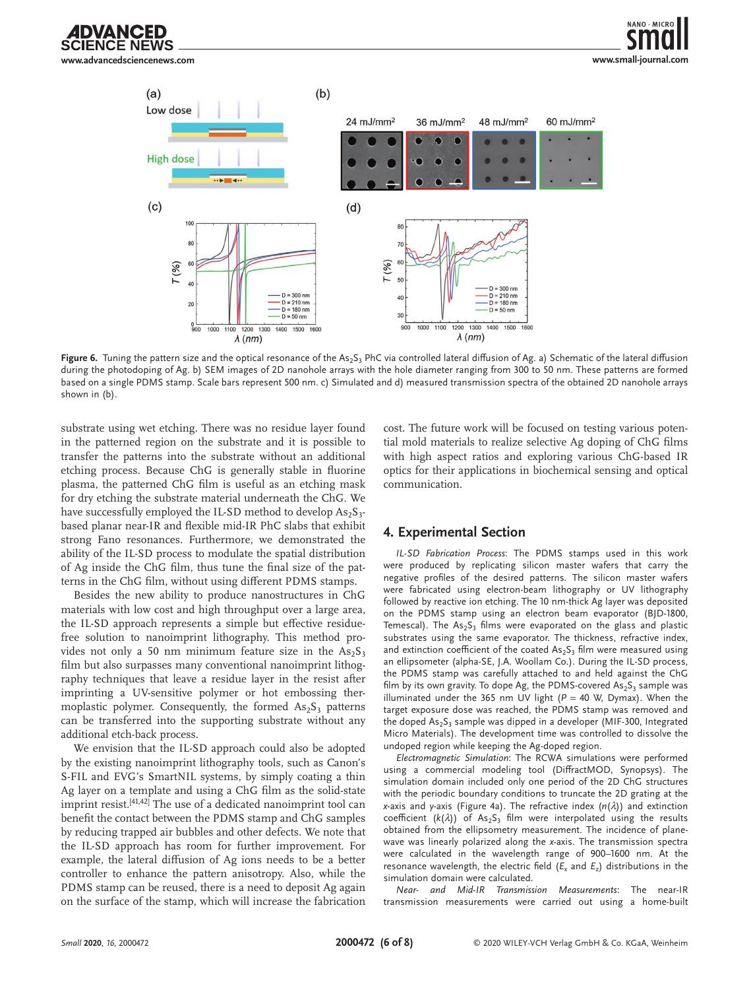

 $(a)$ 

 $(c)$ 



 $900$  $1000$ 

Figure 6. Tuning the pattern size and the optical resonance of the As<sub>2</sub>S<sub>3</sub> PhC via controlled lateral diffusion of Ag. a) Schematic of the lateral diffusion during the photodoping of Ag. b) SEM images of 2D nanohole arrays with the hole diameter ranging from 300 to 50 nm. These patterns are formed based on a single PDMS stamp. Scale bars represent 500 nm. c) Simulated and d) measured transmission spectra of the obtained 2D nanohole arrays shown in (b).

substrate using wet etching. There was no residue layer found in the patterned region on the substrate and it is possible to transfer the patterns into the substrate without an additional etching process. Because ChG is generally stable in fluorine plasma, the patterned ChG film is useful as an etching mask for dry etching the substrate material underneath the ChG. We have successfully employed the IL-SD method to develop  $\text{As}_2\text{S}_3$ based planar near-IR and flexible mid-IR PhC slabs that exhibit strong Fano resonances. Furthermore, we demonstrated the ability of the IL-SD process to modulate the spatial distribution of Ag inside the ChG film, thus tune the final size of the patterns in the ChG film, without using different PDMS stamps.

 $_{900}^{0}$ 

 $\frac{1}{1000}$ 1100  $\lambda$  (nm)

1200 1300 1400 1500 1600

Besides the new ability to produce nanostructures in ChG materials with low cost and high throughput over a large area, the IL-SD approach represents a simple but effective residuefree solution to nanoimprint lithography. This method provides not only a 50 nm minimum feature size in the  $As_2S_3$ film but also surpasses many conventional nanoimprint lithography techniques that leave a residue layer in the resist after imprinting a UV-sensitive polymer or hot embossing thermoplastic polymer. Consequently, the formed  $As_2S_3$  patterns can be transferred into the supporting substrate without any additional etch-back process.

We envision that the IL-SD approach could also be adopted by the existing nanoimprint lithography tools, such as Canon's S-FIL and EVG's SmartNIL systems, by simply coating a thin Ag layer on a template and using a ChG film as the solid-state imprint resist.<sup>[41,42]</sup> The use of a dedicated nanoimprint tool can benefit the contact between the PDMS stamp and ChG samples by reducing trapped air bubbles and other defects. We note that the IL-SD approach has room for further improvement. For example, the lateral diffusion of Ag ions needs to be a better controller to enhance the pattern anisotropy. Also, while the PDMS stamp can be reused, there is a need to deposit Ag again on the surface of the stamp, which will increase the fabrication

cost. The future work will be focused on testing various potential mold materials to realize selective Ag doping of ChG films with high aspect ratios and exploring various ChG-based IR optics for their applications in biochemical sensing and optical communication.

## **4. Experimental Section**

 $\frac{1}{1200}$ 1300

 $\lambda$  (nm)

1100

1400 1500 1600

*IL-SD Fabrication Process*: The PDMS stamps used in this work were produced by replicating silicon master wafers that carry the negative profiles of the desired patterns. The silicon master wafers were fabricated using electron-beam lithography or UV lithography followed by reactive ion etching. The 10 nm-thick Ag layer was deposited on the PDMS stamp using an electron beam evaporator (BJD-1800, Temescal). The  $As_2S_3$  films were evaporated on the glass and plastic substrates using the same evaporator. The thickness, refractive index, and extinction coefficient of the coated  $As_2S_3$  film were measured using an ellipsometer (alpha-SE, J.A. Woollam Co.). During the IL-SD process, the PDMS stamp was carefully attached to and held against the ChG film by its own gravity. To dope Ag, the PDMS-covered  $As_2S_3$  sample was illuminated under the 365 nm UV light ( $P = 40$  W, Dymax). When the target exposure dose was reached, the PDMS stamp was removed and the doped  $As_2S_3$  sample was dipped in a developer (MIF-300, Integrated Micro Materials). The development time was controlled to dissolve the undoped region while keeping the Ag-doped region.

*Electromagnetic Simulation*: The RCWA simulations were performed using a commercial modeling tool (DiffractMOD, Synopsys). The simulation domain included only one period of the 2D ChG structures with the periodic boundary conditions to truncate the 2D grating at the *x*-axis and *y*-axis (Figure 4a). The refractive index (*n*(*λ*)) and extinction coefficient  $(k(\lambda))$  of As<sub>2</sub>S<sub>3</sub> film were interpolated using the results obtained from the ellipsometry measurement. The incidence of planewave was linearly polarized along the *x*-axis. The transmission spectra were calculated in the wavelength range of 900–1600 nm. At the resonance wavelength, the electric field  $(E_x$  and  $E_z$ ) distributions in the simulation domain were calculated.

*Near- and Mid-IR Transmission Measurements*: The near-IR transmission measurements were carried out using a home-built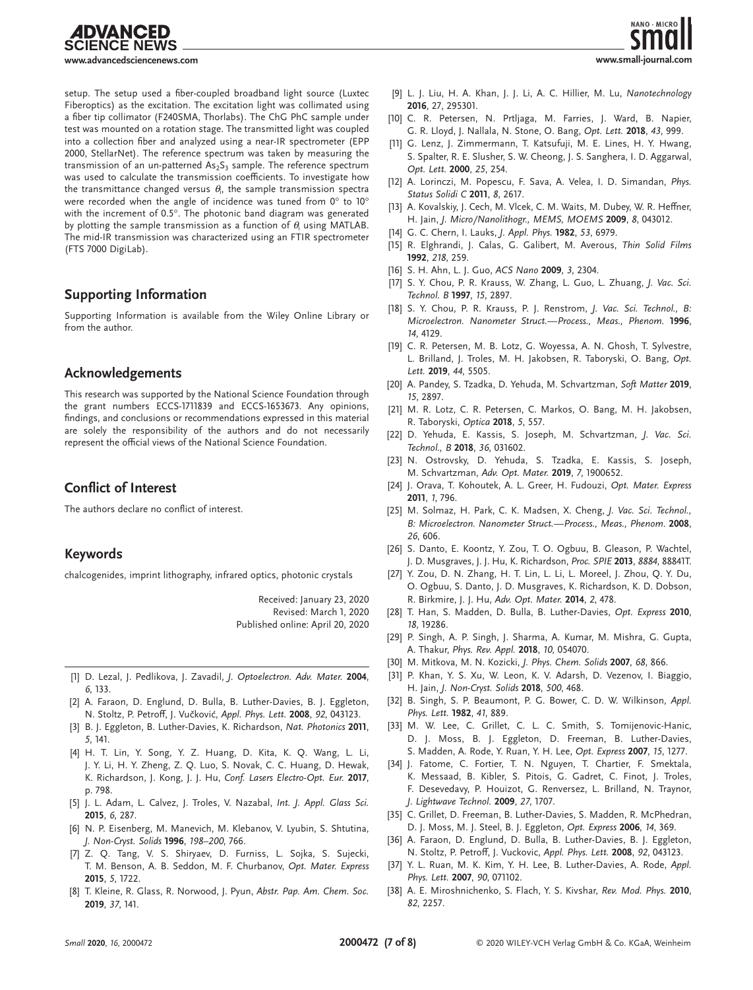

**www.advancedsciencenews.com**

setup. The setup used a fiber-coupled broadband light source (Luxtec Fiberoptics) as the excitation. The excitation light was collimated using a fiber tip collimator (F240SMA, Thorlabs). The ChG PhC sample under test was mounted on a rotation stage. The transmitted light was coupled into a collection fiber and analyzed using a near-IR spectrometer (EPP 2000, StellarNet). The reference spectrum was taken by measuring the transmission of an un-patterned  $As_2S_3$  sample. The reference spectrum was used to calculate the transmission coefficients. To investigate how the transmittance changed versus  $\theta_{\text{i}}$ , the sample transmission spectra were recorded when the angle of incidence was tuned from 0° to 10° with the increment of 0.5°. The photonic band diagram was generated by plotting the sample transmission as a function of  $\theta_{\text{i}}$  using MATLAB. The mid-IR transmission was characterized using an FTIR spectrometer (FTS 7000 DigiLab).

## **Supporting Information**

Supporting Information is available from the Wiley Online Library or from the author.

## **Acknowledgements**

This research was supported by the National Science Foundation through the grant numbers ECCS-1711839 and ECCS-1653673. Any opinions, findings, and conclusions or recommendations expressed in this material are solely the responsibility of the authors and do not necessarily represent the official views of the National Science Foundation.

## **Conflict of Interest**

The authors declare no conflict of interest.

## **Keywords**

chalcogenides, imprint lithography, infrared optics, photonic crystals

Received: January 23, 2020 Revised: March 1, 2020 Published online: April 20, 2020

- [1] D. Lezal, J. Pedlikova, J. Zavadil, *J. Optoelectron. Adv. Mater.* **2004**, *6*, 133.
- [2] A. Faraon, D. Englund, D. Bulla, B. Luther-Davies, B. J. Eggleton, N. Stoltz, P. Petroff, J. Vučković, *Appl. Phys. Lett.* **2008**, *92*, 043123.
- [3] B. J. Eggleton, B. Luther-Davies, K. Richardson, *Nat. Photonics* **2011**, *5*, 141.
- [4] H. T. Lin, Y. Song, Y. Z. Huang, D. Kita, K. Q. Wang, L. Li, J. Y. Li, H. Y. Zheng, Z. Q. Luo, S. Novak, C. C. Huang, D. Hewak, K. Richardson, J. Kong, J. J. Hu, *Conf. Lasers Electro-Opt. Eur.* **2017**, p. 798.
- [5] J. L. Adam, L. Calvez, J. Troles, V. Nazabal, *Int. J. Appl. Glass Sci.* **2015**, *6*, 287.
- [6] N. P. Eisenberg, M. Manevich, M. Klebanov, V. Lyubin, S. Shtutina, *J. Non-Cryst. Solids* **1996**, *198–200*, 766.
- [7] Z. Q. Tang, V. S. Shiryaev, D. Furniss, L. Sojka, S. Sujecki, T. M. Benson, A. B. Seddon, M. F. Churbanov, *Opt. Mater. Express* **2015**, *5*, 1722.
- [8] T. Kleine, R. Glass, R. Norwood, J. Pyun, *Abstr. Pap. Am. Chem. Soc.* **2019**, *37*, 141.



- [9] L. J. Liu, H. A. Khan, J. J. Li, A. C. Hillier, M. Lu, *Nanotechnology* **2016**, 27, 295301.
- [10] C. R. Petersen, N. Prtljaga, M. Farries, J. Ward, B. Napier, G. R. Lloyd, J. Nallala, N. Stone, O. Bang, *Opt. Lett.* **2018**, *43*, 999.
- [11] G. Lenz, J. Zimmermann, T. Katsufuji, M. E. Lines, H. Y. Hwang, S. Spalter, R. E. Slusher, S. W. Cheong, J. S. Sanghera, I. D. Aggarwal, *Opt. Lett.* **2000**, *25*, 254.
- [12] A. Lorinczi, M. Popescu, F. Sava, A. Velea, I. D. Simandan, *Phys. Status Solidi C* **2011**, *8*, 2617.
- [13] A. Kovalskiy, J. Cech, M. Vlcek, C. M. Waits, M. Dubey, W. R. Heffner, H. Jain, *J. Micro/Nanolithogr., MEMS, MOEMS* **2009**, *8*, 043012.
- [14] G. C. Chern, I. Lauks, *J. Appl. Phys.* **1982**, *53*, 6979.
- [15] R. Elghrandi, J. Calas, G. Galibert, M. Averous, *Thin Solid Films* **1992**, *218*, 259.
- [16] S. H. Ahn, L. J. Guo, *ACS Nano* **2009**, *3*, 2304.
- [17] S. Y. Chou, P. R. Krauss, W. Zhang, L. Guo, L. Zhuang, *J. Vac. Sci. Technol. B* **1997**, *15*, 2897.
- [18] S. Y. Chou, P. R. Krauss, P. J. Renstrom, *J. Vac. Sci. Technol., B: Microelectron. Nanometer Struct.—Process., Meas., Phenom.* **1996**, *14*, 4129.
- [19] C. R. Petersen, M. B. Lotz, G. Woyessa, A. N. Ghosh, T. Sylvestre, L. Brilland, J. Troles, M. H. Jakobsen, R. Taboryski, O. Bang, *Opt. Lett.* **2019**, *44*, 5505.
- [20] A. Pandey, S. Tzadka, D. Yehuda, M. Schvartzman, *Soft Matter* **2019**, *15*, 2897.
- [21] M. R. Lotz, C. R. Petersen, C. Markos, O. Bang, M. H. Jakobsen, R. Taboryski, *Optica* **2018**, *5*, 557.
- [22] D. Yehuda, E. Kassis, S. Joseph, M. Schvartzman, *J. Vac. Sci. Technol., B* **2018**, *36*, 031602.
- [23] N. Ostrovsky, D. Yehuda, S. Tzadka, E. Kassis, S. Joseph, M. Schvartzman, *Adv. Opt. Mater.* **2019**, *7*, 1900652.
- [24] J. Orava, T. Kohoutek, A. L. Greer, H. Fudouzi, *Opt. Mater. Express* **2011**, *1*, 796.
- [25] M. Solmaz, H. Park, C. K. Madsen, X. Cheng, *J. Vac. Sci. Technol., B: Microelectron. Nanometer Struct.—Process., Meas., Phenom.* **2008**, *26*, 606.
- [26] S. Danto, E. Koontz, Y. Zou, T. O. Ogbuu, B. Gleason, P. Wachtel, J. D. Musgraves, J. J. Hu, K. Richardson, *Proc. SPIE* **2013**, *8884*, 88841T.
- [27] Y. Zou, D. N. Zhang, H. T. Lin, L. Li, L. Moreel, J. Zhou, Q. Y. Du, O. Ogbuu, S. Danto, J. D. Musgraves, K. Richardson, K. D. Dobson, R. Birkmire, J. J. Hu, *Adv. Opt. Mater.* **2014**, *2*, 478.
- [28] T. Han, S. Madden, D. Bulla, B. Luther-Davies, *Opt. Express* **2010**, *18*, 19286.
- [29] P. Singh, A. P. Singh, J. Sharma, A. Kumar, M. Mishra, G. Gupta, A. Thakur, *Phys. Rev. Appl.* **2018**, *10*, 054070.
- [30] M. Mitkova, M. N. Kozicki, *J. Phys. Chem. Solids* **2007**, *68*, 866.
- [31] P. Khan, Y. S. Xu, W. Leon, K. V. Adarsh, D. Vezenov, I. Biaggio, H. Jain, *J. Non-Cryst. Solids* **2018**, *500*, 468.
- [32] B. Singh, S. P. Beaumont, P. G. Bower, C. D. W. Wilkinson, *Appl. Phys. Lett.* **1982**, *41*, 889.
- [33] M. W. Lee, C. Grillet, C. L. C. Smith, S. Tomijenovic-Hanic, D. J. Moss, B. J. Eggleton, D. Freeman, B. Luther-Davies, S. Madden, A. Rode, Y. Ruan, Y. H. Lee, *Opt. Express* **2007**, *15*, 1277.
- [34] J. Fatome, C. Fortier, T. N. Nguyen, T. Chartier, F. Smektala, K. Messaad, B. Kibler, S. Pitois, G. Gadret, C. Finot, J. Troles, F. Desevedavy, P. Houizot, G. Renversez, L. Brilland, N. Traynor, *J. Lightwave Technol.* **2009**, *27*, 1707.
- [35] C. Grillet, D. Freeman, B. Luther-Davies, S. Madden, R. McPhedran, D. J. Moss, M. J. Steel, B. J. Eggleton, *Opt. Express* **2006**, *14*, 369.
- [36] A. Faraon, D. Englund, D. Bulla, B. Luther-Davies, B. J. Eggleton, N. Stoltz, P. Petroff, J. Vuckovic, *Appl. Phys. Lett.* **2008**, *92*, 043123.
- [37] Y. L. Ruan, M. K. Kim, Y. H. Lee, B. Luther-Davies, A. Rode, *Appl. Phys. Lett.* **2007**, *90*, 071102.
- [38] A. E. Miroshnichenko, S. Flach, Y. S. Kivshar, *Rev. Mod. Phys.* **2010**, *82*, 2257.